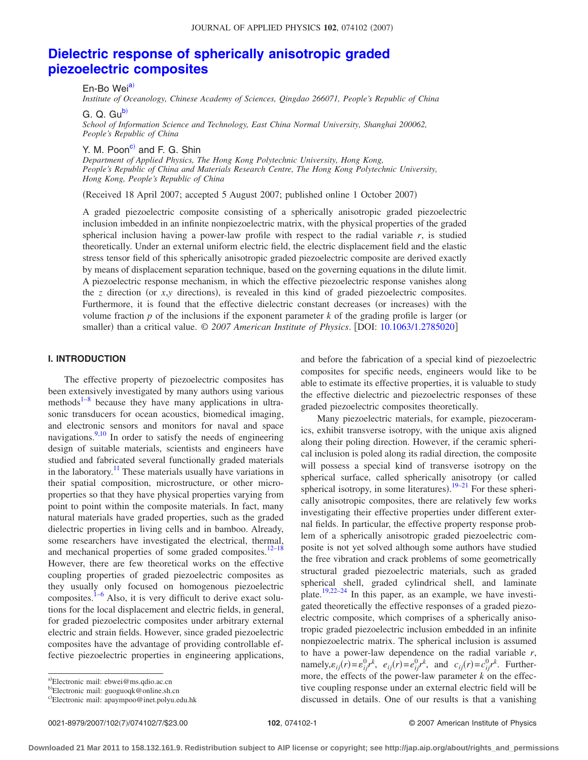# **[Dielectric response of spherically anisotropic graded](http://dx.doi.org/10.1063/1.2785020) [piezoelectric composites](http://dx.doi.org/10.1063/1.2785020)**

En-Bo Wei<sup>a)</sup>

*Institute of Oceanology, Chinese Academy of Sciences, Qingdao 266071, People's Republic of China*

G. Q. Gu<sup>b)</sup>

*School of Information Science and Technology, East China Normal University, Shanghai 200062, People's Republic of China*

Y. M. Poon<sup>c)</sup> and F. G. Shin

*Department of Applied Physics, The Hong Kong Polytechnic University, Hong Kong, People's Republic of China and Materials Research Centre, The Hong Kong Polytechnic University, Hong Kong, People's Republic of China*

Received 18 April 2007; accepted 5 August 2007; published online 1 October 2007-

A graded piezoelectric composite consisting of a spherically anisotropic graded piezoelectric inclusion imbedded in an infinite nonpiezoelectric matrix, with the physical properties of the graded spherical inclusion having a power-law profile with respect to the radial variable *r*, is studied theoretically. Under an external uniform electric field, the electric displacement field and the elastic stress tensor field of this spherically anisotropic graded piezoelectric composite are derived exactly by means of displacement separation technique, based on the governing equations in the dilute limit. A piezoelectric response mechanism, in which the effective piezoelectric response vanishes along the  $z$  direction (or  $x, y$  directions), is revealed in this kind of graded piezoelectric composites. Furthermore, it is found that the effective dielectric constant decreases (or increases) with the volume fraction  $p$  of the inclusions if the exponent parameter  $k$  of the grading profile is larger (or smaller) than a critical value. © 2007 American Institute of Physics. [DOI: [10.1063/1.2785020](http://dx.doi.org/10.1063/1.2785020)]

## **I. INTRODUCTION**

The effective property of piezoelectric composites has been extensively investigated by many authors using various methods $1-8$  because they have many applications in ultrasonic transducers for ocean acoustics, biomedical imaging, and electronic sensors and monitors for naval and space navigations. $\frac{9,10}{9}$  $\frac{9,10}{9}$  $\frac{9,10}{9}$  In order to satisfy the needs of engineering design of suitable materials, scientists and engineers have studied and fabricated several functionally graded materials in the laboratory.<sup>11</sup> These materials usually have variations in their spatial composition, microstructure, or other microproperties so that they have physical properties varying from point to point within the composite materials. In fact, many natural materials have graded properties, such as the graded dielectric properties in living cells and in bamboo. Already, some researchers have investigated the electrical, thermal, and mechanical properties of some graded composites. $12-18$  $12-18$ However, there are few theoretical works on the effective coupling properties of graded piezoelectric composites as they usually only focused on homogenous piezoelectric composites.<sup>1–[6](#page-6-7)</sup> Also, it is very difficult to derive exact solutions for the local displacement and electric fields, in general, for graded piezoelectric composites under arbitrary external electric and strain fields. However, since graded piezoelectric composites have the advantage of providing controllable effective piezoelectric properties in engineering applications,

and before the fabrication of a special kind of piezoelectric composites for specific needs, engineers would like to be able to estimate its effective properties, it is valuable to study the effective dielectric and piezoelectric responses of these graded piezoelectric composites theoretically.

Many piezoelectric materials, for example, piezoceramics, exhibit transverse isotropy, with the unique axis aligned along their poling direction. However, if the ceramic spherical inclusion is poled along its radial direction, the composite will possess a special kind of transverse isotropy on the spherical surface, called spherically anisotropy (or called spherical isotropy, in some literatures).  $19-21$  $19-21$  For these spherically anisotropic composites, there are relatively few works investigating their effective properties under different external fields. In particular, the effective property response problem of a spherically anisotropic graded piezoelectric composite is not yet solved although some authors have studied the free vibration and crack problems of some geometrically structural graded piezoelectric materials, such as graded spherical shell, graded cylindrical shell, and laminate plate.<sup>[19](#page-6-8)[,22–](#page-6-10)[24](#page-6-11)</sup> In this paper, as an example, we have investigated theoretically the effective responses of a graded piezoelectric composite, which comprises of a spherically anisotropic graded piezoelectric inclusion embedded in an infinite nonpiezoelectric matrix. The spherical inclusion is assumed to have a power-law dependence on the radial variable *r*, namely, $\varepsilon_{ij}(r) = \varepsilon_{ij}^0 r^k$ ,  $e_{ij}(r) = e_{ij}^0 r^k$ , and  $c_{ij}(r) = c_{ij}^0 r^k$ . Furthermore, the effects of the power-law parameter *k* on the effective coupling response under an external electric field will be discussed in details. One of our results is that a vanishing

<span id="page-0-0"></span>a)Electronic mail: ebwei@ms.qdio.ac.cn

<span id="page-0-1"></span><sup>&</sup>lt;sup>b)</sup>Electronic mail: guoguoqk@online.sh.cn

<span id="page-0-2"></span>c)Electronic mail: apaympoo@inet.polyu.edu.hk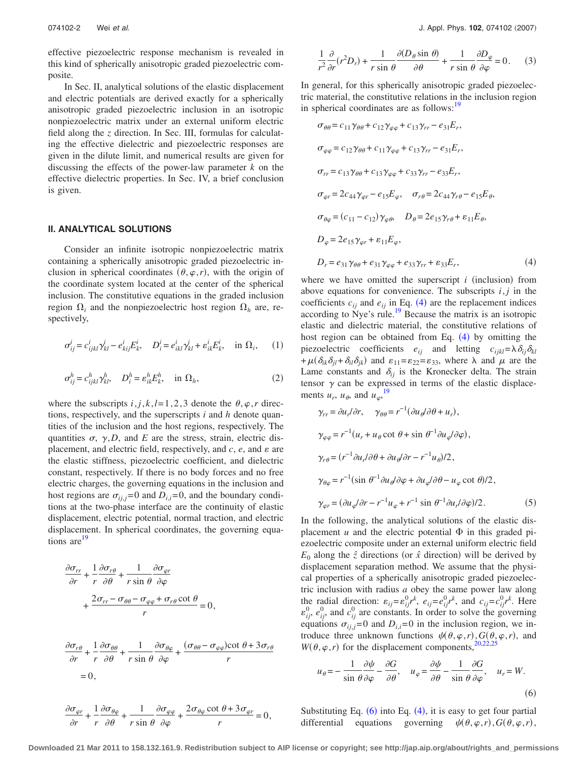effective piezoelectric response mechanism is revealed in this kind of spherically anisotropic graded piezoelectric composite.

In Sec. II, analytical solutions of the elastic displacement and electric potentials are derived exactly for a spherically anisotropic graded piezoelectric inclusion in an isotropic nonpiezoelectric matrix under an external uniform electric field along the *z* direction. In Sec. III, formulas for calculating the effective dielectric and piezoelectric responses are given in the dilute limit, and numerical results are given for discussing the effects of the power-law parameter *k* on the effective dielectric properties. In Sec. IV, a brief conclusion is given.

### **II. ANALYTICAL SOLUTIONS**

Consider an infinite isotropic nonpiezoelectric matrix containing a spherically anisotropic graded piezoelectric inclusion in spherical coordinates  $(\theta, \varphi, r)$ , with the origin of the coordinate system located at the center of the spherical inclusion. The constitutive equations in the graded inclusion region  $\Omega_i$  and the nonpiezoelectric host region  $\Omega_h$  are, respectively,

$$
\sigma_{ij}^i = c_{ijkl}^i \gamma_{kl}^j - e_{kij}^i E_k^i, \quad D_i^i = e_{ikl}^i \gamma_{kl}^j + \varepsilon_{ik}^i E_k^i, \quad \text{in } \Omega_i,\tag{1}
$$

$$
\sigma_{ij}^h = c_{ijkl}^h \gamma_{kl}^h, \quad D_i^h = \varepsilon_{ik}^h E_k^h, \quad \text{in } \Omega_h,
$$
 (2)

where the subscripts  $i, j, k, l = 1, 2, 3$  denote the  $\theta, \varphi, r$  directions, respectively, and the superscripts *i* and *h* denote quantities of the inclusion and the host regions, respectively. The quantities  $\sigma$ ,  $\gamma$ , *D*, and *E* are the stress, strain, electric displacement, and electric field, respectively, and  $c$ ,  $e$ , and  $\varepsilon$  are the elastic stiffness, piezoelectric coefficient, and dielectric constant, respectively. If there is no body forces and no free electric charges, the governing equations in the inclusion and host regions are  $\sigma_{ii,i}=0$  and  $D_{i,i}=0$ , and the boundary conditions at the two-phase interface are the continuity of elastic displacement, electric potential, normal traction, and electric displacement. In spherical coordinates, the governing equations are<sup>19</sup>

<span id="page-1-2"></span>
$$
\frac{\partial \sigma_{rr}}{\partial r} + \frac{1}{r} \frac{\partial \sigma_{r\theta}}{\partial \theta} + \frac{1}{r \sin \theta} \frac{\partial \sigma_{\varphi r}}{\partial \varphi} \n+ \frac{2\sigma_{rr} - \sigma_{\theta\theta} - \sigma_{\varphi\varphi} + \sigma_{r\theta} \cot \theta}{r} = 0,
$$

$$
\frac{\partial \sigma_{r\theta}}{\partial r} + \frac{1}{r} \frac{\partial \sigma_{\theta\theta}}{\partial \theta} + \frac{1}{r \sin \theta} \frac{\partial \sigma_{\theta\varphi}}{\partial \varphi} + \frac{(\sigma_{\theta\theta} - \sigma_{\varphi\varphi}) \cot \theta + 3\sigma_{r\theta}}{r}
$$
  
= 0,

$$
\frac{\partial \sigma_{\varphi r}}{\partial r} + \frac{1}{r} \frac{\partial \sigma_{\theta \varphi}}{\partial \theta} + \frac{1}{r \sin \theta} \frac{\partial \sigma_{\varphi \varphi}}{\partial \varphi} + \frac{2 \sigma_{\theta \varphi} \cot \theta + 3 \sigma_{\varphi r}}{r} = 0,
$$

$$
\frac{1}{r^2}\frac{\partial}{\partial r}(r^2D_r) + \frac{1}{r\sin\theta}\frac{\partial(D_\theta\sin\theta)}{\partial \theta} + \frac{1}{r\sin\theta}\frac{\partial D_\varphi}{\partial \varphi} = 0.
$$
 (3)

In general, for this spherically anisotropic graded piezoelectric material, the constitutive relations in the inclusion region in spherical coordinates are as follows:<sup>19</sup>

<span id="page-1-0"></span>
$$
\sigma_{\theta\theta} = c_{11}\gamma_{\theta\theta} + c_{12}\gamma_{\varphi\varphi} + c_{13}\gamma_{rr} - e_{31}E_r,
$$
\n
$$
\sigma_{\varphi\varphi} = c_{12}\gamma_{\theta\theta} + c_{11}\gamma_{\varphi\varphi} + c_{13}\gamma_{rr} - e_{31}E_r,
$$
\n
$$
\sigma_{rr} = c_{13}\gamma_{\theta\theta} + c_{13}\gamma_{\varphi\varphi} + c_{33}\gamma_{rr} - e_{33}E_r,
$$
\n
$$
\sigma_{\varphi r} = 2c_{44}\gamma_{\varphi r} - e_{15}E_{\varphi}, \quad \sigma_{r\theta} = 2c_{44}\gamma_{r\theta} - e_{15}E_{\theta},
$$
\n
$$
\sigma_{\theta\varphi} = (c_{11} - c_{12})\gamma_{\varphi\theta}, \quad D_{\theta} = 2e_{15}\gamma_{r\theta} + \varepsilon_{11}E_{\theta},
$$
\n
$$
D_{\varphi} = 2e_{15}\gamma_{\varphi r} + \varepsilon_{11}E_{\varphi},
$$
\n
$$
D_{r} = e_{31}\gamma_{\theta\theta} + e_{31}\gamma_{\varphi\varphi} + e_{33}\gamma_{rr} + \varepsilon_{33}E_{r},
$$
\n(4)

where we have omitted the superscript  $i$  (inclusion) from above equations for convenience. The subscripts  $i, j$  in the coefficients  $c_{ij}$  and  $e_{ij}$  in Eq. ([4](#page-1-0)) are the replacement indices according to Nye's rule.<sup>19</sup> Because the matrix is an isotropic elastic and dielectric material, the constitutive relations of host region can be obtained from Eq.  $(4)$  $(4)$  $(4)$  by omitting the piezoelectric coefficients  $e_{ij}$  and letting  $c_{ijkl} = \lambda \delta_{ij} \delta_{kl}$  $+\mu(\delta_{ik}\delta_{jl}+\delta_{il}\delta_{jk})$  and  $\varepsilon_{11}=\varepsilon_{22}=\varepsilon_{33}$ , where  $\lambda$  and  $\mu$  are the Lame constants and  $\delta_{ij}$  is the Kronecker delta. The strain tensor  $\gamma$  can be expressed in terms of the elastic displacements  $u_r$ ,  $u_\theta$ , and  $u_\varphi$ , <sup>[19](#page-6-8)</sup>

$$
\gamma_{rr} = \partial u_r / \partial r, \quad \gamma_{\theta\theta} = r^{-1} (\partial u_{\theta} / \partial \theta + u_r),
$$
  
\n
$$
\gamma_{\varphi\varphi} = r^{-1} (u_r + u_{\theta} \cot \theta + \sin \theta^{-1} \partial u_{\varphi} / \partial \varphi),
$$
  
\n
$$
\gamma_{r\theta} = (r^{-1} \partial u_r / \partial \theta + \partial u_{\theta} / \partial r - r^{-1} u_{\theta}) / 2,
$$
  
\n
$$
\gamma_{\theta\varphi} = r^{-1} (\sin \theta^{-1} \partial u_{\theta} / \partial \varphi + \partial u_{\varphi} / \partial \theta - u_{\varphi} \cot \theta) / 2,
$$
  
\n
$$
\gamma_{\varphi r} = (\partial u_{\varphi} / \partial r - r^{-1} u_{\varphi} + r^{-1} \sin \theta^{-1} \partial u_r / \partial \varphi) / 2.
$$
 (5)

In the following, the analytical solutions of the elastic displacement  $u$  and the electric potential  $\Phi$  in this graded piezoelectric composite under an external uniform electric field  $E_0$  along the  $\hat{z}$  directions (or  $\hat{x}$  direction) will be derived by displacement separation method. We assume that the physical properties of a spherically anisotropic graded piezoelectric inclusion with radius *a* obey the same power law along the radial direction:  $\varepsilon_{ij} = \varepsilon_{ij}^0 r^k$ ,  $e_{ij} = e_{ij}^0 r^k$ , and  $c_{ij} = c_{ij}^0 r^k$ . Here  $\varepsilon_{ij}^0$ ,  $e_{ij}^0$ , and  $c_{ij}^0$  are constants. In order to solve the governing equations  $\sigma_{ii,j}=0$  and  $D_{i,i}=0$  in the inclusion region, we introduce three unknown functions  $\psi(\theta, \varphi, r)$ ,  $G(\theta, \varphi, r)$ , and  $W(\theta, \varphi, r)$  for the displacement components,<sup>20,[22](#page-6-10)[,25](#page-6-13)</sup>

<span id="page-1-1"></span>
$$
u_{\theta} = -\frac{1}{\sin \theta} \frac{\partial \psi}{\partial \varphi} - \frac{\partial G}{\partial \theta}, \quad u_{\varphi} = \frac{\partial \psi}{\partial \theta} - \frac{1}{\sin \theta} \frac{\partial G}{\partial \varphi}, \quad u_{r} = W.
$$
\n(6)

Substituting Eq.  $(6)$  $(6)$  $(6)$  into Eq.  $(4)$  $(4)$  $(4)$ , it is easy to get four partial differential equations governing  $, \varphi, r)$ ,  $G(\theta, \varphi, r)$ ,

**Downloaded 21 Mar 2011 to 158.132.161.9. Redistribution subject to AIP license or copyright; see http://jap.aip.org/about/rights\_and\_permissions**

 $\sim$   $\sim$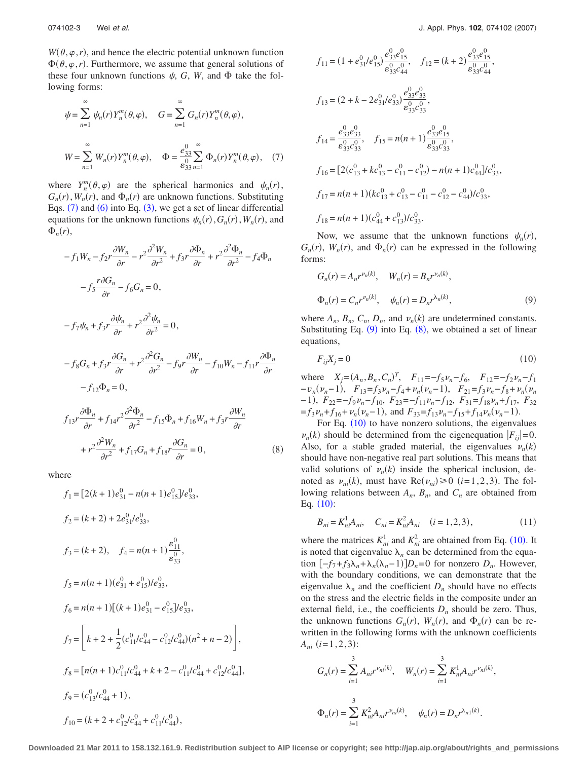$W(\theta, \varphi, r)$ , and hence the electric potential unknown function  $\Phi(\theta, \varphi, r)$ . Furthermore, we assume that general solutions of these four unknown functions  $\psi$ , *G*, *W*, and  $\Phi$  take the following forms:

<span id="page-2-0"></span>
$$
\psi = \sum_{n=1}^{\infty} \psi_n(r) Y_n^m(\theta, \varphi), \quad G = \sum_{n=1}^{\infty} G_n(r) Y_n^m(\theta, \varphi),
$$
  

$$
W = \sum_{n=1}^{\infty} W_n(r) Y_n^m(\theta, \varphi), \quad \Phi = \frac{e_{33}^0}{e_{33}} \sum_{n=1}^{\infty} \Phi_n(r) Y_n^m(\theta, \varphi), \quad (7)
$$

where  $Y_n^m(\theta, \varphi)$  are the spherical harmonics and  $\psi_n(r)$ ,  $G_n(r)$ ,  $W_n(r)$ , and  $\Phi_n(r)$  are unknown functions. Substituting Eqs.  $(7)$  $(7)$  $(7)$  and  $(6)$  $(6)$  $(6)$  into Eq.  $(3)$  $(3)$  $(3)$ , we get a set of linear differential equations for the unknown functions  $\psi_n(r)$ ,  $G_n(r)$ ,  $W_n(r)$ , and  $\Phi_n(r)$ ,

<span id="page-2-2"></span>
$$
-f_1 W_n - f_2 r \frac{\partial W_n}{\partial r} - r^2 \frac{\partial^2 W_n}{\partial r^2} + f_3 r \frac{\partial \Phi_n}{\partial r} + r^2 \frac{\partial^2 \Phi_n}{\partial r^2} - f_4 \Phi_n
$$
  

$$
-f_5 \frac{r \partial G_n}{\partial r} - f_6 G_n = 0,
$$
  

$$
-f_7 \psi_n + f_3 r \frac{\partial \psi_n}{\partial r} + r^2 \frac{\partial^2 \psi_n}{\partial r^2} = 0,
$$
  

$$
-f_8 G_n + f_3 r \frac{\partial G_n}{\partial r} + r^2 \frac{\partial^2 G_n}{\partial r^2} - f_9 r \frac{\partial W_n}{\partial r} - f_{10} W_n - f_{11} r \frac{\partial \Phi_n}{\partial r}
$$
  

$$
-f_{12} \Phi_n = 0,
$$
  

$$
f_{13} r \frac{\partial \Phi_n}{\partial r} + f_{14} r^2 \frac{\partial^2 \Phi_n}{\partial r^2} - f_{15} \Phi_n + f_{16} W_n + f_3 r \frac{\partial W_n}{\partial r}
$$

 $+r^2 \frac{\partial^2 W_n}{\partial r^2} + f_{17} G_n + f_{18} r \frac{\partial G_n}{\partial r} = 0,$  (8)

where

$$
f_1 = [2(k+1)e_{31}^0 - n(n+1)e_{15}^0]/e_{33}^0,
$$
  
\n
$$
f_2 = (k+2) + 2e_{31}^0/e_{33}^0,
$$
  
\n
$$
f_3 = (k+2), \quad f_4 = n(n+1)\frac{\varepsilon_{11}^0}{\varepsilon_{33}^0},
$$
  
\n
$$
f_5 = n(n+1)(e_{31}^0 + e_{15}^0)/e_{33}^0,
$$
  
\n
$$
f_6 = n(n+1)[(k+1)e_{31}^0 - e_{15}^0]/e_{33}^0,
$$
  
\n
$$
f_7 = \left[k+2+\frac{1}{2}(c_{11}^0/c_{44}^0 - c_{12}^0/c_{44}^0)(n^2 + n - 2)\right],
$$
  
\n
$$
f_8 = [n(n+1)c_{11}^0/c_{44}^0 + k + 2 - c_{11}^0/c_{44}^0 + c_{12}^0/c_{44}^0],
$$
  
\n
$$
f_9 = (c_{13}^0/c_{44}^0 + 1),
$$
  
\n
$$
f_{10} = (k+2+c_{12}^0/c_{44}^0 + c_{11}^0/c_{44}^0),
$$

$$
f_{11} = (1 + e_{31}^{0}/e_{15}^{0}) \frac{e_{33}^{0}e_{15}^{0}}{e_{33}^{0}e_{44}^{0}}, \quad f_{12} = (k + 2) \frac{e_{33}^{0}e_{15}^{0}}{e_{33}^{0}e_{44}^{0}},
$$
  
\n
$$
f_{13} = (2 + k - 2e_{31}^{0}/e_{33}^{0}) \frac{e_{33}^{0}e_{33}^{0}}{e_{33}^{0}e_{33}^{0}},
$$
  
\n
$$
f_{14} = \frac{e_{33}^{0}e_{33}^{0}}{e_{33}^{0}e_{33}^{0}}, \quad f_{15} = n(n + 1) \frac{e_{33}^{0}e_{15}^{0}}{e_{33}^{0}e_{33}^{0}},
$$
  
\n
$$
f_{16} = [2(c_{13}^{0} + kc_{13}^{0} - c_{11}^{0} - c_{12}^{0}) - n(n + 1)c_{44}^{0}] / c_{33}^{0},
$$
  
\n
$$
f_{17} = n(n + 1)(kc_{13}^{0} + c_{13}^{0} - c_{11}^{0} - c_{12}^{0} - c_{44}^{0}) / c_{33}^{0},
$$
  
\n
$$
f_{18} = n(n + 1)(c_{44}^{0} + c_{13}^{0}) / c_{33}^{0}.
$$

Now, we assume that the unknown functions  $\psi_n(r)$ ,  $G_n(r)$ ,  $W_n(r)$ , and  $\Phi_n(r)$  can be expressed in the following forms:

<span id="page-2-1"></span>
$$
G_n(r) = A_n r^{\nu_n(k)}, \quad W_n(r) = B_n r^{\nu_n(k)},
$$
  

$$
\Phi_n(r) = C_n r^{\nu_n(k)}, \quad \psi_n(r) = D_n r^{\lambda_n(k)},
$$
 (9)

where  $A_n$ ,  $B_n$ ,  $C_n$ ,  $D_n$ , and  $\nu_n(k)$  are undetermined constants. Substituting Eq.  $(9)$  $(9)$  $(9)$  into Eq.  $(8)$  $(8)$  $(8)$ , we obtained a set of linear equations,

<span id="page-2-3"></span>
$$
F_{ij}X_j = 0\tag{10}
$$

where  $X_j = (A_n, B_n, C_n)^T$ ,  $F_{11} = -f_5 v_n - f_6$ ,  $F_{12} = -f_2 v_n - f_1$  $-v_n(v_n-1)$ ,  $F_{13}=f_3v_n-f_4+v_n(v_n-1)$ ,  $F_{21}=f_3v_n-f_8+v_n(v_n)$  $(-1)$ ,  $F_{22}=-f_9\nu_n-f_{10}$ ,  $F_{23}=-f_{11}\nu_n-f_{12}$ ,  $F_{31}=f_{18}\nu_n+f_{17}$ ,  $F_{32}$  $=f_3 \nu_n + f_{16} + \nu_n(\nu_n - 1)$ , and  $F_{33} = f_{13} \nu_n - f_{15} + f_{14} \nu_n(\nu_n - 1)$ .

For Eq. ([10](#page-2-3)) to have nonzero solutions, the eigenvalues  $\nu_n(k)$  should be determined from the eigenequation  $|F_{ij}|=0$ . Also, for a stable graded material, the eigenvalues  $v_n(k)$ should have non-negative real part solutions. This means that valid solutions of  $\nu_n(k)$  inside the spherical inclusion, denoted as  $\nu_{ni}(k)$ , must have  $\text{Re}(\nu_{ni}) \ge 0$   $(i=1,2,3)$ . The following relations between  $A_n$ ,  $B_n$ , and  $C_n$  are obtained from Eq.  $(10)$  $(10)$  $(10)$ :

$$
B_{ni} = K_{ni}^1 A_{ni}, \quad C_{ni} = K_{ni}^2 A_{ni} \quad (i = 1, 2, 3), \tag{11}
$$

where the matrices  $K_{ni}^1$  and  $K_{ni}^2$  are obtained from Eq. ([10](#page-2-3)). It is noted that eigenvalue  $\lambda_n$  can be determined from the equation  $[-f_7 + f_3 \lambda_n + \lambda_n(\lambda_n - 1)]D_n = 0$  for nonzero  $D_n$ . However, with the boundary conditions, we can demonstrate that the eigenvalue  $\lambda_n$  and the coefficient  $D_n$  should have no effects on the stress and the electric fields in the composite under an external field, i.e., the coefficients  $D_n$  should be zero. Thus, the unknown functions  $G_n(r)$ ,  $W_n(r)$ , and  $\Phi_n(r)$  can be rewritten in the following forms with the unknown coefficients  $A_{ni}$  (*i*=1,2,3):

$$
G_n(r) = \sum_{i=1}^3 A_{ni} r^{\nu_{ni}(k)}, \quad W_n(r) = \sum_{i=1}^3 K_{ni}^1 A_{ni} r^{\nu_{ni}(k)},
$$
  

$$
\Phi_n(r) = \sum_{i=1}^3 K_{ni}^2 A_{ni} r^{\nu_{ni}(k)}, \quad \psi_n(r) = D_n r^{\lambda_{n1}(k)}.
$$

**Downloaded 21 Mar 2011 to 158.132.161.9. Redistribution subject to AIP license or copyright; see http://jap.aip.org/about/rights\_and\_permissions**

 $(8)$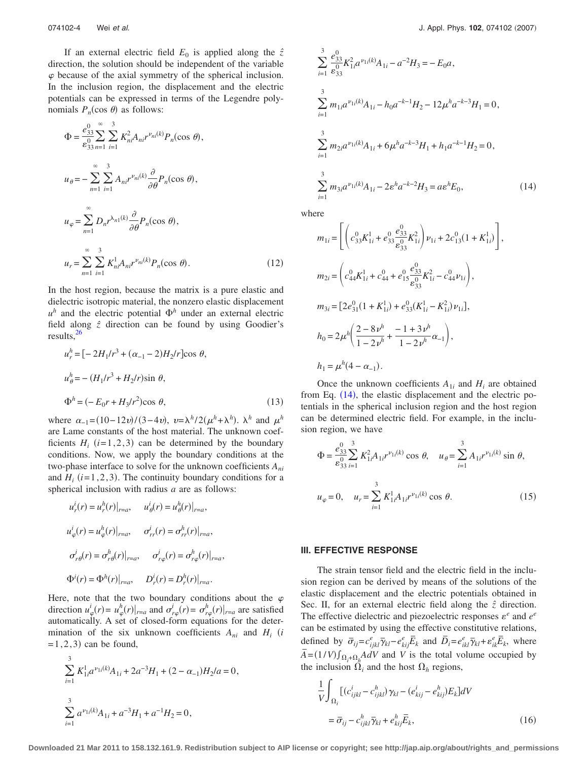If an external electric field  $E_0$  is applied along the  $\hat{z}$ direction, the solution should be independent of the variable  $\varphi$  because of the axial symmetry of the spherical inclusion. In the inclusion region, the displacement and the electric potentials can be expressed in terms of the Legendre polynomials  $P_n(\cos \theta)$  as follows:

$$
\Phi = \frac{e_{33}^0}{e_{33}^0} \sum_{n=1}^{\infty} \sum_{i=1}^3 K_{ni}^2 A_{ni} r^{v_{ni}(k)} P_n(\cos \theta),
$$
  
\n
$$
u_{\theta} = -\sum_{n=1}^{\infty} \sum_{i=1}^3 A_{ni} r^{v_{ni}(k)} \frac{\partial}{\partial \theta} P_n(\cos \theta),
$$
  
\n
$$
u_{\varphi} = \sum_{n=1}^{\infty} D_n r^{\lambda_{n1}(k)} \frac{\partial}{\partial \theta} P_n(\cos \theta),
$$
  
\n
$$
u_r = \sum_{n=1}^{\infty} \sum_{i=1}^3 K_{ni}^1 A_{ni} r^{v_{ni}(k)} P_n(\cos \theta).
$$
 (12)

In the host region, because the matrix is a pure elastic and dielectric isotropic material, the nonzero elastic displacement  $u^h$  and the electric potential  $\Phi^h$  under an external electric field along  $\hat{z}$  direction can be found by using Goodier's results,<sup>26</sup>

$$
u_r^h = [-2H_1/r^3 + (\alpha_{-1} - 2)H_2/r]\cos \theta,
$$
  

$$
u_\theta^h = -(H_1/r^3 + H_2/r)\sin \theta,
$$
  

$$
\Phi^h = (-E_0r + H_3/r^2)\cos \theta,
$$
 (13)

where  $\alpha_{-1} = (10 - 12v)/(3 - 4v)$ ,  $v = \lambda^h/2(\mu^h + \lambda^h)$ .  $\lambda^h$  and  $\mu^h$ are Lame constants of the host material. The unknown coefficients  $H_i$  ( $i=1,2,3$ ) can be determined by the boundary conditions. Now, we apply the boundary conditions at the two-phase interface to solve for the unknown coefficients *Ani* and  $H_i$  ( $i=1,2,3$ ). The continuity boundary conditions for a spherical inclusion with radius *a* are as follows:

$$
u_r^i(r) = u_r^h(r)|_{r=a}, \t u_\theta^i(r) = u_\theta^h(r)|_{r=a},
$$
  

$$
u_\phi^i(r) = u_\phi^h(r)|_{r=a}, \t \sigma_{rr}^i(r) = \sigma_{rr}^h(r)|_{r=a},
$$
  

$$
\sigma_{r\theta}^i(r) = \sigma_{r\theta}^h(r)|_{r=a}, \t \sigma_{r\phi}^i(r) = \sigma_{r\phi}^h(r)|_{r=a},
$$
  

$$
\Phi^i(r) = \Phi^h(r)|_{r=a}, \t D_r^i(r) = D_r^h(r)|_{r=a}.
$$

Here, note that the two boundary conditions about the  $\varphi$ direction  $u^i_\varphi(r) = u^h_\varphi(r)|_{r=a}$  and  $\sigma^i_{r\varphi}(r) = \sigma^h_{r\varphi}(r)|_{r=a}$  are satisfied automatically. A set of closed-form equations for the determination of the six unknown coefficients  $A_{ni}$  and  $H_i$  *i*  $= 1, 2, 3$  can be found,

<span id="page-3-0"></span>
$$
\sum_{i=1}^{3} K_{1i}^{1} a^{\nu_{1i}(k)} A_{1i} + 2a^{-3} H_1 + (2 - \alpha_{-1}) H_2 / a = 0,
$$
  

$$
\sum_{i=1}^{3} a^{\nu_{1i}(k)} A_{1i} + a^{-3} H_1 + a^{-1} H_2 = 0,
$$

$$
\sum_{i=1}^{3} \frac{e_{33}^{0}}{e_{33}^{0}} K_{1i}^{2} a^{\nu_{1i}(k)} A_{1i} - a^{-2} H_{3} = -E_{0} a,
$$
  
\n
$$
\sum_{i=1}^{3} m_{1i} a^{\nu_{1i}(k)} A_{1i} - h_{0} a^{-k-1} H_{2} - 12 \mu^{h} a^{-k-3} H_{1} = 0,
$$
  
\n
$$
\sum_{i=1}^{3} m_{2i} a^{\nu_{1i}(k)} A_{1i} + 6 \mu^{h} a^{-k-3} H_{1} + h_{1} a^{-k-1} H_{2} = 0,
$$
  
\n
$$
\sum_{i=1}^{3} m_{3i} a^{\nu_{1i}(k)} A_{1i} - 2 \varepsilon^{h} a^{-k-2} H_{3} = a \varepsilon^{h} E_{0},
$$
  
\n(14)

where

$$
m_{1i} = \left[ \left( c_{33}^0 K_{1i}^1 + e_{33}^0 \frac{e_{33}^0}{e_{33}^0} K_{1i}^2 \right) \nu_{1i} + 2c_{13}^0 (1 + K_{1i}^1) \right],
$$
  
\n
$$
m_{2i} = \left( c_{44}^0 K_{1i}^1 + c_{44}^0 + e_{15}^0 \frac{e_{33}^0}{e_{33}^0} K_{1i}^2 - c_{44}^0 \nu_{1i} \right),
$$
  
\n
$$
m_{3i} = \left[ 2e_{31}^0 (1 + K_{1i}^1) + e_{33}^0 (K_{1i}^1 - K_{1i}^2) \nu_{1i} \right],
$$
  
\n
$$
h_0 = 2\mu^h \left( \frac{2 - 8\nu^h}{1 - 2\nu^h} + \frac{-1 + 3\nu^h}{1 - 2\nu^h} \alpha_{-1} \right),
$$
  
\n
$$
h_1 = \mu^h (4 - \alpha_{-1}).
$$

Once the unknown coefficients  $A_{1i}$  and  $H_i$  are obtained from Eq.  $(14)$  $(14)$  $(14)$ , the elastic displacement and the electric potentials in the spherical inclusion region and the host region can be determined electric field. For example, in the inclusion region, we have

$$
\Phi = \frac{e_{33}^0}{e_{33}^0} \sum_{i=1}^3 K_{1i}^2 A_{1i} r^{\nu_{1i}(k)} \cos \theta, \quad u_{\theta} = \sum_{i=1}^3 A_{1i} r^{\nu_{1i}(k)} \sin \theta,
$$
  

$$
u_{\varphi} = 0, \quad u_r = \sum_{i=1}^3 K_{1i}^1 A_{1i} r^{\nu_{1i}(k)} \cos \theta.
$$
 (15)

#### **III. EFFECTIVE RESPONSE**

The strain tensor field and the electric field in the inclusion region can be derived by means of the solutions of the elastic displacement and the electric potentials obtained in Sec. II, for an external electric field along the *zˆ* direction. The effective dielectric and piezoelectric responses  $\varepsilon^e$  and  $e^e$ can be estimated by using the effective constitutive relations, defined by  $\overline{\sigma}_{ij} = c_{ijkl}^e \overline{\gamma}_{kl} - e_{kij}^e \overline{E}_k$  and  $\overline{D}_i = e_{ikl}^e \overline{\gamma}_{kl} + e_{ik}^e \overline{E}_k$ , where  $\overline{A} = (1/V) \int_{\Omega_f + \Omega_f} A dV$  and *V* is the total volume occupied by the inclusion  $\Omega_i$  and the host  $\Omega_h$  regions,

<span id="page-3-1"></span>
$$
\frac{1}{V} \int_{\Omega_i} \left[ (c_{ijkl}^i - c_{ijkl}^h) \gamma_{kl} - (e_{kij}^i - e_{kij}^h) E_k \right] dV
$$

$$
= \overline{\sigma}_{ij} - c_{ijkl}^h \overline{\gamma}_{kl} + e_{kij}^h \overline{E}_k,
$$
(16)

**Downloaded 21 Mar 2011 to 158.132.161.9. Redistribution subject to AIP license or copyright; see http://jap.aip.org/about/rights\_and\_permissions**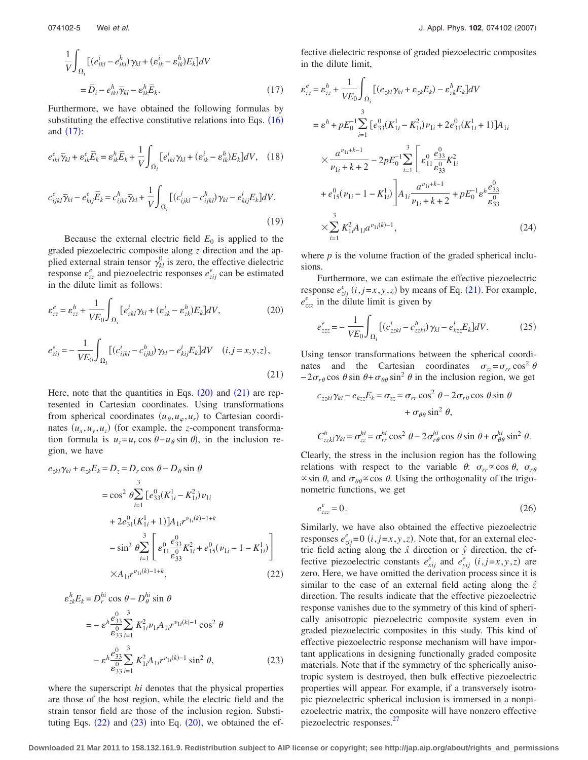<span id="page-4-0"></span>
$$
\frac{1}{V} \int_{\Omega_i} \left[ (e_{ikl}^i - e_{ikl}^h) \gamma_{kl} + (e_{ik}^i - e_{ik}^h) E_k \right] dV
$$
  
=  $\overline{D}_i - e_{ikl}^h \overline{\gamma}_{kl} - e_{ik}^h \overline{E}_k.$  (17)

Furthermore, we have obtained the following formulas by substituting the effective constitutive relations into Eqs.  $(16)$  $(16)$  $(16)$ and  $(17)$  $(17)$  $(17)$ :

$$
e_{ikl}^e \overline{\gamma}_{kl} + \varepsilon_{ik}^e \overline{E}_k = \varepsilon_{ik}^h \overline{E}_k + \frac{1}{V} \int_{\Omega_i} \left[ e_{ikl}^i \gamma_{kl} + (\varepsilon_{ik}^i - \varepsilon_{ik}^h) E_k \right] dV, \quad (18)
$$
  

$$
c_{ijkl}^e \overline{\gamma}_{kl} - e_{kij}^e \overline{E}_k = c_{ijkl}^h \overline{\gamma}_{kl} + \frac{1}{V} \int_{\Omega_i} \left[ \left( c_{ijkl}^i - c_{ijkl}^h \right) \gamma_{kl} - e_{kij}^i E_k \right] dV.
$$

$$
c_{ijkl}^e \overline{\gamma}_{kl} - e_{kij}^e \overline{E}_k = c_{ijkl}^h \overline{\gamma}_{kl} + \frac{1}{V} \int_{\Omega_i} \left[ (c_{ijkl}^i - c_{ijkl}^h) \gamma_{kl} - e_{kij}^i E_k \right] dV.
$$
\n(19)

Because the external electric field  $E_0$  is applied to the graded piezoelectric composite along *z* direction and the applied external strain tensor  $\gamma_{kl}^0$  is zero, the effective dielectric response  $\varepsilon_{zz}^e$  and piezoelectric responses  $e_{zij}^e$  can be estimated in the dilute limit as follows:

<span id="page-4-2"></span><span id="page-4-1"></span>
$$
\varepsilon_{zz}^{e} = \varepsilon_{zz}^{h} + \frac{1}{VE_{0}} \int_{\Omega_{i}} \left[ e_{zkl}^{i} \gamma_{kl} + (\varepsilon_{zk}^{i} - \varepsilon_{zk}^{h}) E_{k} \right] dV, \qquad (20)
$$
  

$$
e_{zij}^{e} = -\frac{1}{VE_{0}} \int_{\Omega_{i}} \left[ (c_{ijkl}^{i} - c_{ijkl}^{h}) \gamma_{kl} - e_{kij}^{i} E_{k} \right] dV \quad (i, j = x, y, z), \qquad (21)
$$

Here, note that the quantities in Eqs.  $(20)$  $(20)$  $(20)$  and  $(21)$  $(21)$  $(21)$  are represented in Cartesian coordinates. Using transformations from spherical coordinates  $(u_{\theta}, u_{\varphi}, u_r)$  to Cartesian coordinates  $(u_x, u_y, u_z)$  (for example, the *z*-component transformation formula is  $u_z = u_r \cos \theta - u_\theta \sin \theta$ , in the inclusion region, we have

<span id="page-4-3"></span>
$$
e_{zkl}\gamma_{kl} + \varepsilon_{zk}E_k = D_z = D_r \cos \theta - D_\theta \sin \theta
$$
  
\n
$$
= \cos^2 \theta \sum_{i=1}^3 [e_{33}^0(K_{1i}^1 - K_{1i}^2)\nu_{1i} + 2e_{31}^0(K_{1i}^1 + 1)]A_{1i}r^{\nu_{1i}(k)-1+k}
$$
  
\n
$$
- \sin^2 \theta \sum_{i=1}^3 \left[ e_{11}^0 \frac{e_{33}^0}{e_{33}^0} K_{1i}^2 + e_{15}^0(\nu_{1i} - 1 - K_{1i}^1) \right]
$$
  
\n
$$
\times A_{1i}r^{\nu_{1i}(k)-1+k},
$$
 (22)

<span id="page-4-4"></span>
$$
\varepsilon_{zk}^{h} E_{k} = D_{r}^{hi} \cos \theta - D_{\theta}^{hi} \sin \theta
$$
\n
$$
= -\varepsilon^{h} \frac{e_{33}^{0}}{\varepsilon_{33}^{0}} \sum_{i=1}^{3} K_{1i}^{2} \nu_{1i} A_{1i} r^{\nu_{1i}(k)-1} \cos^{2} \theta
$$
\n
$$
- \varepsilon^{h} \frac{e_{33}^{0}}{\varepsilon_{33}^{0}} \sum_{i=1}^{3} K_{1i}^{2} A_{1i} r^{\nu_{1i}(k)-1} \sin^{2} \theta,
$$
\n(23)

where the superscript *hi* denotes that the physical properties are those of the host region, while the electric field and the strain tensor field are those of the inclusion region. Substituting Eqs.  $(22)$  $(22)$  $(22)$  and  $(23)$  $(23)$  $(23)$  into Eq.  $(20)$  $(20)$  $(20)$ , we obtained the effective dielectric response of graded piezoelectric composites in the dilute limit,

<span id="page-4-5"></span>
$$
\varepsilon_{zz}^{e} = \varepsilon_{zz}^{h} + \frac{1}{VE_{0}} \int_{\Omega_{i}} \left[ (e_{zkl}\gamma_{kl} + \varepsilon_{zk}E_{k}) - \varepsilon_{zk}^{h}E_{k} \right] dV
$$
\n
$$
= \varepsilon^{h} + pE_{0}^{-1} \sum_{i=1}^{3} \left[ e_{33}^{0}(K_{1i}^{1} - K_{1i}^{2})\nu_{1i} + 2e_{31}^{0}(K_{1i}^{1} + 1) \right] A_{1i}
$$
\n
$$
\times \frac{a^{\nu_{1i}+k-1}}{\nu_{1i}+k+2} - 2pE_{0}^{-1} \sum_{i=1}^{3} \left[ e_{11}^{0} \frac{e_{33}^{0}}{e_{33}^{0}} K_{1i}^{2} + e_{15}^{0} (\nu_{1i} - 1 - K_{1i}^{1}) \right] A_{1i} \frac{a^{\nu_{1i}+k-1}}{\nu_{1i}+k+2} + pE_{0}^{-1} \varepsilon^{h} \frac{e_{33}^{0}}{e_{33}^{0}}
$$
\n
$$
\times \sum_{i=1}^{3} K_{1i}^{2} A_{1i} a^{\nu_{1i}(k)-1}, \tag{24}
$$

where *p* is the volume fraction of the graded spherical inclusions.

Furthermore, we can estimate the effective piezoelectric response  $e_{zij}^e$  (*i*, *j*=*x*, *y*, *z*) by means of Eq. ([21](#page-4-2)). For example,  $e_{zzz}^e$  in the dilute limit is given by

$$
e_{zzz}^e = -\frac{1}{VE_0} \int_{\Omega_i} \left[ \left( c_{zzkl}^i - c_{zzkl}^h \right) \gamma_{kl} - e_{kzz}^i E_k \right] dV. \tag{25}
$$

Using tensor transformations between the spherical coordinates and the Cartesian coordinates  $\sigma_{zz} = \sigma_{rr} \cos^2 \theta$  $-2\sigma_{r\theta}$  cos  $\theta$  sin  $\theta + \sigma_{\theta\theta}$  sin<sup>2</sup>  $\theta$  in the inclusion region, we get

$$
c_{zzkl}\gamma_{kl} - e_{kzz}E_k = \sigma_{zz} = \sigma_{rr}\cos^2\theta - 2\sigma_{r\theta}\cos\theta\sin\theta
$$

$$
+ \sigma_{\theta\theta}\sin^2\theta,
$$

$$
C_{zzkl}^h\gamma_{kl} = \sigma_{zz}^{hi} = \sigma_{rr}^{hi}\cos^2\theta - 2\sigma_{r\theta}^{hi}\cos\theta\sin\theta + \sigma_{\theta\theta}^{hi}\sin^2\theta.
$$

Clearly, the stress in the inclusion region has the following relations with respect to the variable  $\theta$ :  $\sigma_{rr} \propto \cos \theta$ ,  $\sigma_{r\theta}$  $\propto$  sin  $\theta$ , and  $\sigma_{\theta\theta}$   $\propto$  cos  $\theta$ . Using the orthogonality of the trigonometric functions, we get

$$
e_{zzz}^e = 0.\tag{26}
$$

Similarly, we have also obtained the effective piezoelectric responses  $e_{zij}^e = 0$  (*i*, *j*=*x*, *y*, *z*). Note that, for an external electric field acting along the *xˆ* direction or *yˆ* direction, the effective piezoelectric constants  $e_{xij}^e$  and  $e_{yij}^e$  (*i*, *j*=*x*, *y*, *z*) are zero. Here, we have omitted the derivation process since it is similar to the case of an external field acting along the  $\hat{z}$ direction. The results indicate that the effective piezoelectric response vanishes due to the symmetry of this kind of spherically anisotropic piezoelectric composite system even in graded piezoelectric composites in this study. This kind of effective piezoelectric response mechanism will have important applications in designing functionally graded composite materials. Note that if the symmetry of the spherically anisotropic system is destroyed, then bulk effective piezoelectric properties will appear. For example, if a transversely isotropic piezoelectric spherical inclusion is immersed in a nonpiezoelectric matrix, the composite will have nonzero effective piezoelectric responses[.27](#page-6-15)

**Downloaded 21 Mar 2011 to 158.132.161.9. Redistribution subject to AIP license or copyright; see http://jap.aip.org/about/rights\_and\_permissions**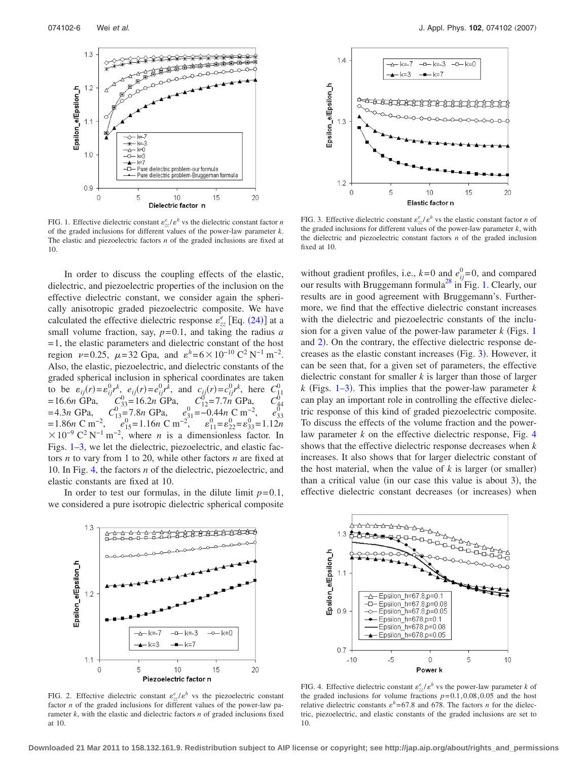<span id="page-5-0"></span>

FIG. 1. Effective dielectric constant  $\varepsilon_{zz}^e / \varepsilon^h$  vs the dielectric constant factor *n* of the graded inclusions for different values of the power-law parameter *k*. The elastic and piezoelectric factors *n* of the graded inclusions are fixed at 10.

In order to discuss the coupling effects of the elastic, dielectric, and piezoelectric properties of the inclusion on the effective dielectric constant, we consider again the spherically anisotropic graded piezoelectric composite. We have calculated the effective dielectric response  $\varepsilon_{zz}^e$  [Eq. ([24](#page-4-5))] at a small volume fraction, say, *p*= 0.1, and taking the radius *a*  $= 1$ , the elastic parameters and dielectric constant of the host region  $\nu = 0.25$ ,  $\mu = 32$  Gpa, and  $\varepsilon^h = 6 \times 10^{-10} \text{ C}^2 \text{ N}^{-1} \text{ m}^{-2}$ . Also, the elastic, piezoelectric, and dielectric constants of the graded spherical inclusion in spherical coordinates are taken to be  $\varepsilon_{ij}(r) = \varepsilon_{ij}^0 r^k$ ,  $e_{ij}(r) = e_{ij}^0 r^k$ , and  $c_{ij}(r) = c_{ij}^0 r^k$ , here  $C_{11}^0$  $= 16.6n$  GPa,  $C_{33}^0 = 16.2n$  GPa,  $C_{12}^0 = 7.7n$  GPa,  $C_{44}^0$  $= 4.3n \text{ GPa},$   $C_{13}^0 = 7.8n \text{ GPa},$   $e_{31}^0 = -0.44n \text{ C m}^{-2},$   $e_{33}^0$  $= 1.86n \text{ C m}^{-2}$ ,  $e_{15}^{0} = 1.16n \text{ C m}^{-2}$ ,  $e_{11}^{0} = e_{22}^{0} = e_{33}^{0} = 1.12n$  $\times 10^{-9}$  C<sup>2</sup> N<sup>-1</sup> m<sup>-2</sup>, where *n* is a dimensionless factor. In Figs. [1–](#page-5-0)[3,](#page-5-1) we let the dielectric, piezoelectric, and elastic factors *n* to vary from 1 to 20, while other factors *n* are fixed at 10. In Fig. [4,](#page-5-2) the factors *n* of the dielectric, piezoelectric, and elastic constants are fixed at 10.

In order to test our formulas, in the dilute limit  $p=0.1$ , we considered a pure isotropic dielectric spherical composite

<span id="page-5-1"></span>

FIG. 3. Effective dielectric constant  $\varepsilon_{zz}^e/\varepsilon^h$  vs the elastic constant factor *n* of the graded inclusions for different values of the power-law parameter  $k$ , with the dielectric and piezoelectric constant factors *n* of the graded inclusion fixed at 10.

without gradient profiles, i.e.,  $k=0$  and  $e_{ij}^0=0$ , and compared our results with Bruggemann formula<sup>28</sup> in Fig. [1.](#page-5-0) Clearly, our results are in good agreement with Bruggemann's. Furthermore, we find that the effective dielectric constant increases with the dielectric and piezoelectric constants of the inclusion for a given value of the power-law parameter  $k$  (Figs. [1](#page-5-0)) and [2](#page-5-3)). On the contrary, the effective dielectric response de-creases as the elastic constant increases (Fig. [3](#page-5-1)). However, it can be seen that, for a given set of parameters, the effective dielectric constant for smaller *k* is larger than those of larger  $k$  (Figs. [1](#page-5-0)[–3](#page-5-1)). This implies that the power-law parameter  $k$ can play an important role in controlling the effective dielectric response of this kind of graded piezoelectric composite. To discuss the effects of the volume fraction and the powerlaw parameter *k* on the effective dielectric response, Fig. [4](#page-5-2) shows that the effective dielectric response decreases when *k* increases. It also shows that for larger dielectric constant of the host material, when the value of  $k$  is larger (or smaller) than a critical value (in our case this value is about 3), the effective dielectric constant decreases (or increases) when

<span id="page-5-3"></span>

FIG. 2. Effective dielectric constant  $\varepsilon_{zz}^e/\varepsilon^h$  vs the piezoelectric constant factor *n* of the graded inclusions for different values of the power-law parameter *k*, with the elastic and dielectric factors *n* of graded inclusions fixed at 10.

<span id="page-5-2"></span>

FIG. 4. Effective dielectric constant  $\varepsilon_{zz}^e/\varepsilon^h$  vs the power-law parameter *k* of the graded inclusions for volume fractions  $p=0.1, 0.08, 0.05$  and the host relative dielectric constants  $\varepsilon^h$  = 67.8 and 678. The factors *n* for the dielectric, piezoelectric, and elastic constants of the graded inclusions are set to 10.

**Downloaded 21 Mar 2011 to 158.132.161.9. Redistribution subject to AIP license or copyright; see http://jap.aip.org/about/rights\_and\_permissions**